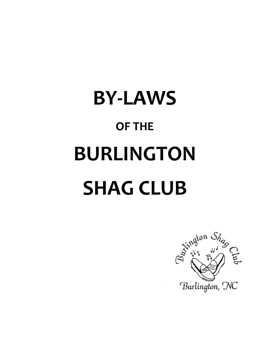# **BY-LAWS OF THE BURLINGTON SHAG CLUB**

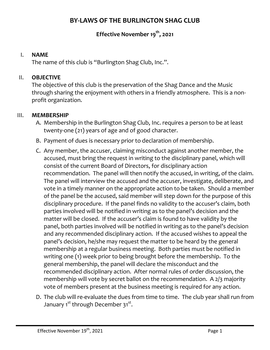# **BY-LAWS OF THE BURLINGTON SHAG CLUB**

# **Effective November 19th, 2021**

#### I. **NAME**

The name of this club is "Burlington Shag Club, Inc.".

#### II. **OBJECTIVE**

The objective of this club is the preservation of the Shag Dance and the Music through sharing the enjoyment with others in a friendly atmosphere. This is a nonprofit organization.

#### III. **MEMBERSHIP**

- A. Membership in the Burlington Shag Club, Inc. requires a person to be at least twenty-one (21) years of age and of good character.
- B. Payment of dues is necessary prior to declaration of membership.
- C. Any member, the accuser, claiming misconduct against another member, the accused, must bring the request in writing to the disciplinary panel, which will consist of the current Board of Directors, for disciplinary action recommendation. The panel will then notify the accused, in writing, of the claim. The panel will interview the accused and the accuser, investigate, deliberate, and vote in a timely manner on the appropriate action to be taken. Should a member of the panel be the accused, said member will step down for the purpose of this disciplinary procedure. If the panel finds no validity to the accuser's claim, both parties involved will be notified in writing as to the panel's decision and the matter will be closed. If the accuser's claim is found to have validity by the panel, both parties involved will be notified in writing as to the panel's decision and any recommended disciplinary action. If the accused wishes to appeal the panel's decision, he/she may request the matter to be heard by the general membership at a regular business meeting. Both parties must be notified in writing one (1) week prior to being brought before the membership. To the general membership, the panel will declare the misconduct and the recommended disciplinary action. After normal rules of order discussion, the membership will vote by secret ballot on the recommendation. A 2/3 majority vote of members present at the business meeting is required for any action.
- D. The club will re-evaluate the dues from time to time. The club year shall run from January 1<sup>st</sup> through December 31<sup>st</sup>.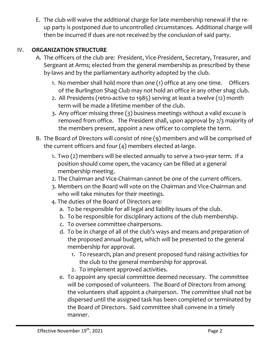E. The club will waive the additional charge for late membership renewal if the reup party is postponed due to uncontrolled circumstances. Additional charge will then be incurred if dues are not received by the conclusion of said party.

## IV. **ORGANIZATION STRUCTURE**

- A. The officers of the club are: President, Vice-President, Secretary, Treasurer, and Sergeant at Arms; elected from the general membership as prescribed by these by-laws and by the parliamentary authority adopted by the club.
	- 1. No member shall hold more than one (1) office at any one time. Officers of the Burlington Shag Club may not hold an office in any other shag club.
	- 2. All Presidents (retro-active to 1985) serving at least a twelve (12) month term will be made a lifetime member of the club.
	- 3. Any officer missing three (3) business meetings without a valid excuse is removed from office. The President shall, upon approval by 2/3 majority of the members present, appoint a new officer to complete the term.
- B. The Board of Directors will consist of nine (9) members and will be comprised of the current officers and four (4) members elected at-large.
	- 1. Two (2) members will be elected annually to serve a two-year term. If a position should come open, the vacancy can be filled at a general membership meeting.
	- 2. The Chairman and Vice-Chairman cannot be one of the current officers.
	- 3. Members on the Board will vote on the Chairman and Vice-Chairman and who will take minutes for their meetings.
	- 4. The duties of the Board of Directors are:
		- a. To be responsible for all legal and liability issues of the club.
		- b. To be responsible for disciplinary actions of the club membership.
		- c. To oversee committee chairpersons.
		- d. To be in charge of all of the club's ways and means and preparation of the proposed annual budget, which will be presented to the general membership for approval.
			- 1. To research, plan and present proposed fund raising activities for the club to the general membership for approval.
			- 2. To implement approved activities.
		- e. To appoint any special committee deemed necessary. The committee will be composed of volunteers. The Board of Directors from among the volunteers shall appoint a chairperson. The committee shall not be dispersed until the assigned task has been completed or terminated by the Board of Directors. Said committee shall convene in a timely manner.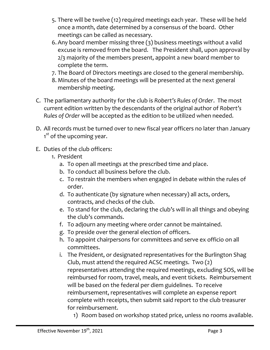- 5. There will be twelve (12) required meetings each year. These will be held once a month, date determined by a consensus of the board. Other meetings can be called as necessary.
- 6. Any board member missing three (3) business meetings without a valid excuse is removed from the board. The President shall, upon approval by 2/3 majority of the members present, appoint a new board member to complete the term.
- 7. The Board of Directors meetings are closed to the general membership.
- 8. Minutes of the board meetings will be presented at the next general membership meeting.
- C. The parliamentary authority for the club is *Robert's Rules of Order*. The most current edition written by the descendants of the original author of *Robert's Rules of Order* will be accepted as the edition to be utilized when needed.
- D. All records must be turned over to new fiscal year officers no later than January 1<sup>st</sup> of the upcoming year.
- E. Duties of the club officers:
	- 1. President
		- a. To open all meetings at the prescribed time and place.
		- b. To conduct all business before the club.
		- c. To restrain the members when engaged in debate within the rules of order.
		- d. To authenticate (by signature when necessary) all acts, orders, contracts, and checks of the club.
		- e. To stand for the club, declaring the club's will in all things and obeying the club's commands.
		- f. To adjourn any meeting where order cannot be maintained.
		- g. To preside over the general election of officers.
		- h. To appoint chairpersons for committees and serve ex officio on all committees.
		- i. The President, or designated representatives for the Burlington Shag Club, must attend the required ACSC meetings. Two (2) representatives attending the required meetings, excluding SOS, will be reimbursed for room, travel, meals, and event tickets. Reimbursement will be based on the federal per diem guidelines. To receive reimbursement, representatives will complete an expense report complete with receipts, then submit said report to the club treasurer for reimbursement.
			- 1) Room based on workshop stated price, unless no rooms available.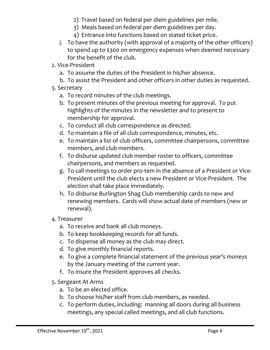- 2) Travel based on federal per diem guidelines per mile.
- 3) Meals based on federal per diem guidelines per day.
- 4) Entrance into functions based on stated ticket price.
- j. To have the authority (with approval of a majority of the other officers) to spend up to \$300 on emergency expenses when deemed necessary for the benefit of the club.
- 2. Vice-President
	- a. To assume the duties of the President in his/her absence.
	- b. To assist the President and other officers in other duties as requested.
- 3. Secretary
	- a. To record minutes of the club meetings.
	- b. To present minutes of the previous meeting for approval. To put highlights of the minutes in the newsletter and to present to membership for approval.
	- c. To conduct all club correspondence as directed.
	- d. To maintain a file of all club correspondence, minutes, etc.
	- e. To maintain a list of club officers, committee chairpersons, committee members, and club members.
	- f. To disburse updated club member roster to officers, committee chairpersons, and members as requested.
	- g. To call meetings to order pro-tem in the absence of a President or Vice-President until the club elects a new President or Vice-President. The election shall take place immediately.
	- h. To disburse Burlington Shag Club membership cards to new and renewing members. Cards will show actual date of members (new or renewal).
- 4. Treasurer
	- a. To receive and bank all club moneys.
	- b. To keep bookkeeping records for all funds.
	- c. To dispense all money as the club may direct.
	- d. To give monthly financial reports.
	- e. To give a complete financial statement of the previous year's moneys by the January meeting of the current year.
	- f. To insure the President approves all checks.
- 5. Sergeant At Arms
	- a. To be an elected office.
	- b. To choose his/her staff from club members, as needed.
	- c. To perform duties, including: manning all doors during all business meetings, any special called meetings, and all club functions.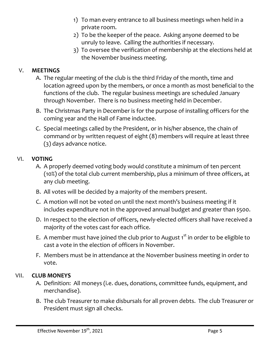- 1) To man every entrance to all business meetings when held in a private room.
- 2) To be the keeper of the peace. Asking anyone deemed to be unruly to leave. Calling the authorities if necessary.
- 3) To oversee the verification of membership at the elections held at the November business meeting.

## V. **MEETINGS**

- A. The regular meeting of the club is the third Friday of the month, time and location agreed upon by the members, or once a month as most beneficial to the functions of the club. The regular business meetings are scheduled January through November. There is no business meeting held in December.
- B. The Christmas Party in December is for the purpose of installing officers for the coming year and the Hall of Fame inductee.
- C. Special meetings called by the President, or in his/her absence, the chain of command or by written request of eight (8) members will require at least three (3) days advance notice.

## VI. **VOTING**

- A. A properly deemed voting body would constitute a minimum of ten percent (10%) of the total club current membership, plus a minimum of three officers, at any club meeting.
- B. All votes will be decided by a majority of the members present.
- C. A motion will not be voted on until the next month's business meeting if it includes expenditure not in the approved annual budget and greater than \$500.
- D. In respect to the election of officers, newly-elected officers shall have received a majority of the votes cast for each office.
- E. A member must have joined the club prior to August  $1<sup>st</sup>$  in order to be eligible to cast a vote in the election of officers in November.
- F. Members must be in attendance at the November business meeting in order to vote.

#### VII. **CLUB MONEYS**

- A. Definition: All moneys (i.e. dues, donations, committee funds, equipment, and merchandise).
- B. The club Treasurer to make disbursals for all proven debts. The club Treasurer or President must sign all checks.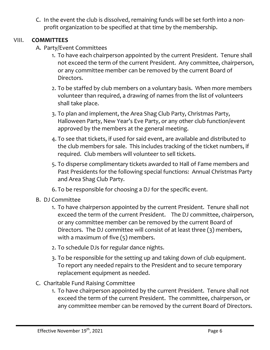C. In the event the club is dissolved, remaining funds will be set forth into a nonprofit organization to be specified at that time by the membership.

#### VIII. **COMMITTEES**

- A. Party/Event Committees
	- 1. To have each chairperson appointed by the current President. Tenure shall not exceed the term of the current President. Any committee, chairperson, or any committee member can be removed by the current Board of Directors.
	- 2. To be staffed by club members on a voluntary basis. When more members volunteer than required, a drawing of names from the list of volunteers shall take place.
	- 3. To plan and implement, the Area Shag Club Party, Christmas Party, Halloween Party, New Year's Eve Party, or any other club function/event approved by the members at the general meeting.
	- 4. To see that tickets, if used for said event, are available and distributed to the club members for sale. This includes tracking of the ticket numbers, if required. Club members will volunteer to sell tickets.
	- 5. To disperse complimentary tickets awarded to Hall of Fame members and Past Presidents for the following special functions: Annual Christmas Party and Area Shag Club Party.
	- 6. To be responsible for choosing a DJ for the specific event.
- B. DJ Committee
	- 1. To have chairperson appointed by the current President. Tenure shall not exceed the term of the current President. The DJ committee, chairperson, or any committee member can be removed by the current Board of Directors. The DJ committee will consist of at least three (3) members, with a maximum of five (5) members.
	- 2. To schedule DJs for regular dance nights.
	- 3. To be responsible for the setting up and taking down of club equipment. To report any needed repairs to the President and to secure temporary replacement equipment as needed.
- C. Charitable Fund Raising Committee
	- 1. To have chairperson appointed by the current President. Tenure shall not exceed the term of the current President. The committee, chairperson, or any committee member can be removed by the current Board of Directors.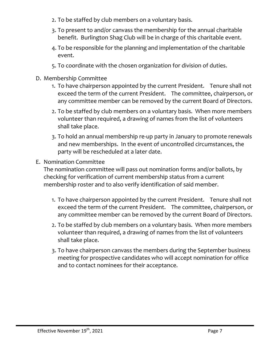- 2. To be staffed by club members on a voluntary basis.
- 3. To present to and/or canvass the membership for the annual charitable benefit. Burlington Shag Club will be in charge of this charitable event.
- 4. To be responsible for the planning and implementation of the charitable event.
- 5. To coordinate with the chosen organization for division of duties.
- D. Membership Committee
	- 1. To have chairperson appointed by the current President. Tenure shall not exceed the term of the current President. The committee, chairperson, or any committee member can be removed by the current Board of Directors.
	- 2. To be staffed by club members on a voluntary basis. When more members volunteer than required, a drawing of names from the list of volunteers shall take place.
	- 3. To hold an annual membership re-up party in January to promote renewals and new memberships. In the event of uncontrolled circumstances, the party will be rescheduled at a later date.
- E. Nomination Committee

The nomination committee will pass out nomination forms and/or ballots, by checking for verification of current membership status from a current membership roster and to also verify identification of said member.

- 1. To have chairperson appointed by the current President. Tenure shall not exceed the term of the current President. The committee, chairperson, or any committee member can be removed by the current Board of Directors.
- 2. To be staffed by club members on a voluntary basis. When more members volunteer than required, a drawing of names from the list of volunteers shall take place.
- 3. To have chairperson canvass the members during the September business meeting for prospective candidates who will accept nomination for office and to contact nominees for their acceptance.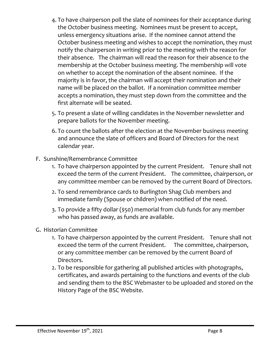- 4. To have chairperson poll the slate of nominees for their acceptance during the October business meeting. Nominees must be present to accept, unless emergency situations arise. If the nominee cannot attend the October business meeting and wishes to accept the nomination, they must notify the chairperson in writing prior to the meeting with the reason for their absence. The chairman will read the reason for their absence to the membership at the October business meeting. The membership will vote on whether to accept the nomination of the absent nominee. If the majority is in favor, the chairman will accept their nomination and their name will be placed on the ballot. If a nomination committee member accepts a nomination, they must step down from the committee and the first alternate will be seated.
- 5. To present a slate of willing candidates in the November newsletter and prepare ballots for the November meeting.
- 6. To count the ballots after the election at the November business meeting and announce the slate of officers and Board of Directors for the next calendar year.
- F. Sunshine/Remembrance Committee
	- 1. To have chairperson appointed by the current President. Tenure shall not exceed the term of the current President. The committee, chairperson, or any committee member can be removed by the current Board of Directors.
	- 2. To send remembrance cards to Burlington Shag Club members and immediate family (Spouse or children) when notified of the need.
	- 3. To provide a fifty dollar (\$50) memorial from club funds for any member who has passed away, as funds are available.
- G. Historian Committee
	- 1. To have chairperson appointed by the current President. Tenure shall not exceed the term of the current President. The committee, chairperson, or any committee member can be removed by the current Board of Directors.
	- 2. To be responsible for gathering all published articles with photographs, certificates, and awards pertaining to the functions and events of the club and sending them to the BSC Webmaster to be uploaded and stored on the History Page of the BSC Website.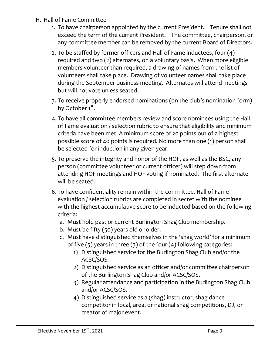- H. Hall of Fame Committee
	- 1. To have chairperson appointed by the current President. Tenure shall not exceed the term of the current President. The committee, chairperson, or any committee member can be removed by the current Board of Directors.
	- 2. To be staffed by former officers and Hall of Fame inductees, four (4) required and two (2) alternates, on a voluntary basis. When more eligible members volunteer than required, a drawing of names from the list of volunteers shall take place. Drawing of volunteer names shall take place during the September business meeting. Alternates will attend meetings but will not vote unless seated.
	- 3. To receive properly endorsed nominations (on the club's nomination form) by October 1<sup>st</sup>.
	- 4. To have all committee members review and score nominees using the Hall of Fame evaluation / selection rubric to ensure that eligibility and minimum criteria have been met. A minimum score of 20 points out of a highest possible score of 40 points is required. No more than one (1) person shall be selected for induction in any given year.
	- 5. To preserve the integrity and honor of the HOF, as well as the BSC, any person (committee volunteer or current officer) will step down from attending HOF meetings and HOF voting if nominated. The first alternate will be seated.
	- 6. To have confidentiality remain within the committee. Hall of Fame evaluation / selection rubrics are completed in secret with the nominee with the highest accumulative score to be inducted based on the following criteria:
		- a. Must hold past or current Burlington Shag Club membership.
		- b. Must be fifty (50) years old or older.
		- c. Must have distinguished themselves in the 'shag world' for a minimum of five  $(5)$  years in three  $(3)$  of the four  $(4)$  following categories:
			- 1) Distinguished service for the Burlington Shag Club and/or the ACSC/SOS.
			- 2) Distinguished service as an officer and/or committee chairperson of the Burlington Shag Club and/or ACSC/SOS.
			- 3) Regular attendance and participation in the Burlington Shag Club and/or ACSC/SOS.
			- 4) Distinguished service as a (shag) instructor, shag dance competitor in local, area, or national shag competitions, DJ, or creator of major event.